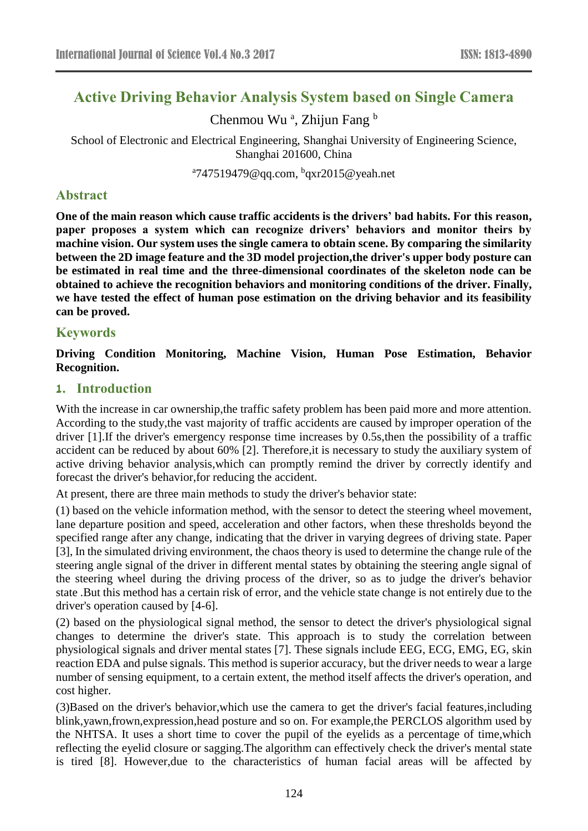# **Active Driving Behavior Analysis System based on Single Camera**

Chenmou Wu<sup>a</sup>, Zhijun Fang b

School of Electronic and Electrical Engineering, Shanghai University of Engineering Science, Shanghai 201600, China

<sup>a</sup>747519479@qq.com, <sup>b</sup>qxr2015@yeah.net

### **Abstract**

**One of the main reason which cause traffic accidents is the drivers' bad habits. For this reason, paper proposes a system which can recognize drivers' behaviors and monitor theirs by machine vision. Our system uses the single camera to obtain scene. By comparing the similarity between the 2D image feature and the 3D model projection,the driver's upper body posture can be estimated in real time and the three-dimensional coordinates of the skeleton node can be obtained to achieve the recognition behaviors and monitoring conditions of the driver. Finally, we have tested the effect of human pose estimation on the driving behavior and its feasibility can be proved.**

## **Keywords**

**Driving Condition Monitoring, Machine Vision, Human Pose Estimation, Behavior Recognition.**

### **1. Introduction**

With the increase in car ownership,the traffic safety problem has been paid more and more attention. According to the study,the vast majority of traffic accidents are caused by improper operation of the driver [1].If the driver's emergency response time increases by 0.5s,then the possibility of a traffic accident can be reduced by about 60% [2]. Therefore,it is necessary to study the auxiliary system of active driving behavior analysis,which can promptly remind the driver by correctly identify and forecast the driver's behavior,for reducing the accident.

At present, there are three main methods to study the driver's behavior state:

(1) based on the vehicle information method, with the sensor to detect the steering wheel movement, lane departure position and speed, acceleration and other factors, when these thresholds beyond the specified range after any change, indicating that the driver in varying degrees of driving state. Paper [3], In the simulated driving environment, the chaos theory is used to determine the change rule of the steering angle signal of the driver in different mental states by obtaining the steering angle signal of the steering wheel during the driving process of the driver, so as to judge the driver's behavior state .But this method has a certain risk of error, and the vehicle state change is not entirely due to the driver's operation caused by [4-6].

(2) based on the physiological signal method, the sensor to detect the driver's physiological signal changes to determine the driver's state. This approach is to study the correlation between physiological signals and driver mental states [7]. These signals include EEG, ECG, EMG, EG, skin reaction EDA and pulse signals. This method is superior accuracy, but the driver needs to wear a large number of sensing equipment, to a certain extent, the method itself affects the driver's operation, and cost higher.

(3)Based on the driver's behavior,which use the camera to get the driver's facial features,including blink,yawn,frown,expression,head posture and so on. For example,the PERCLOS algorithm used by the NHTSA. It uses a short time to cover the pupil of the eyelids as a percentage of time,which reflecting the eyelid closure or sagging.The algorithm can effectively check the driver's mental state is tired [8]. However,due to the characteristics of human facial areas will be affected by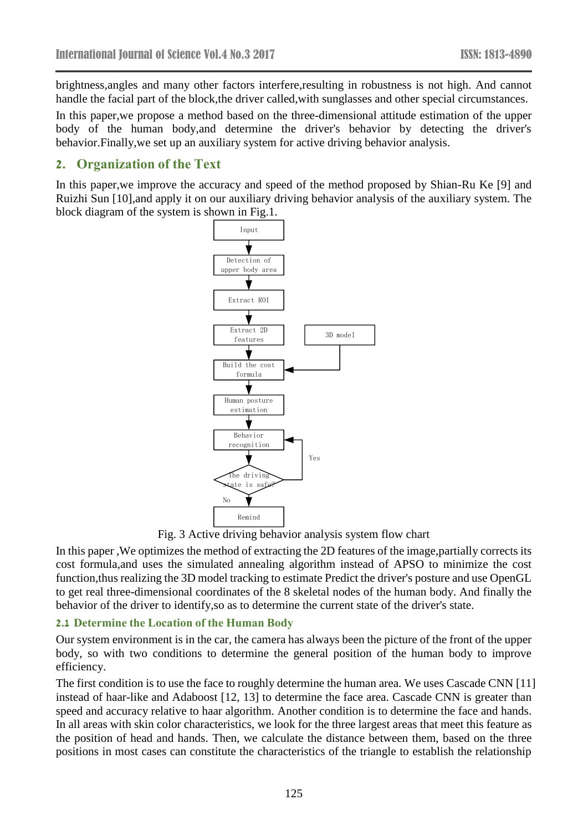brightness,angles and many other factors interfere,resulting in robustness is not high. And cannot handle the facial part of the block,the driver called,with sunglasses and other special circumstances.

In this paper,we propose a method based on the three-dimensional attitude estimation of the upper body of the human body,and determine the driver's behavior by detecting the driver's behavior.Finally,we set up an auxiliary system for active driving behavior analysis.

# **2. Organization of the Text**

In this paper,we improve the accuracy and speed of the method proposed by Shian-Ru Ke [9] and Ruizhi Sun [10],and apply it on our auxiliary driving behavior analysis of the auxiliary system. The block diagram of the system is shown in Fig.1.



Fig. 3 Active driving behavior analysis system flow chart

In this paper ,We optimizes the method of extracting the 2D features of the image,partially corrects its cost formula,and uses the simulated annealing algorithm instead of APSO to minimize the cost function,thus realizing the 3D model tracking to estimate Predict the driver's posture and use OpenGL to get real three-dimensional coordinates of the 8 skeletal nodes of the human body. And finally the behavior of the driver to identify,so as to determine the current state of the driver's state.

### **2.1 Determine the Location of the Human Body**

Our system environment is in the car, the camera has always been the picture of the front of the upper body, so with two conditions to determine the general position of the human body to improve efficiency.

The first condition is to use the face to roughly determine the human area. We uses Cascade CNN [11] instead of haar-like and Adaboost [12, 13] to determine the face area. Cascade CNN is greater than speed and accuracy relative to haar algorithm. Another condition is to determine the face and hands. In all areas with skin color characteristics, we look for the three largest areas that meet this feature as the position of head and hands. Then, we calculate the distance between them, based on the three positions in most cases can constitute the characteristics of the triangle to establish the relationship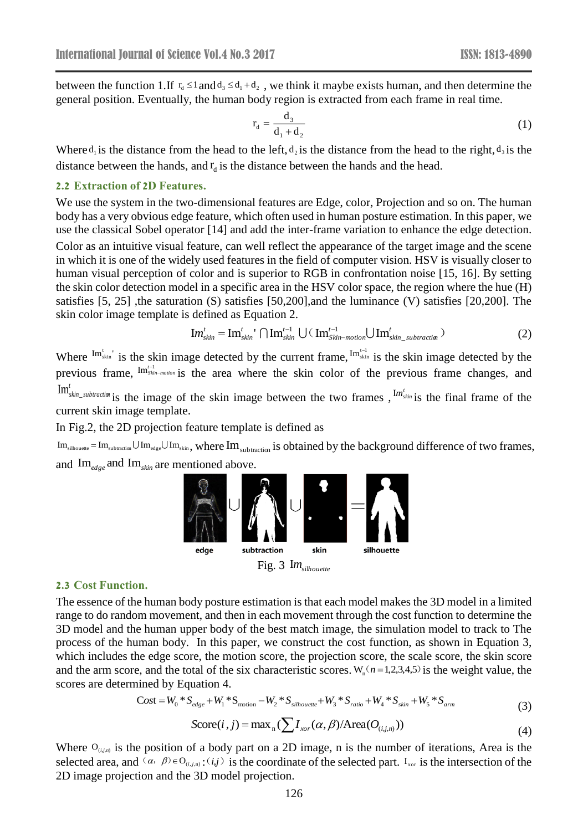between the function 1.If  $r_d \leq 1$  and  $d_3 \leq d_1 + d_2$ , we think it maybe exists human, and then determine the general position. Eventually, the human body region is extracted from each frame in real time.

$$
r_d = \frac{d_3}{d_1 + d_2} \tag{1}
$$

Where  $d_i$  is the distance from the head to the left,  $d_2$  is the distance from the head to the right,  $d_3$  is the distance between the hands, and  $r_d$  is the distance between the hands and the head.

#### **2.2 Extraction of 2D Features.**

We use the system in the two-dimensional features are Edge, color, Projection and so on. The human body has a very obvious edge feature, which often used in human posture estimation. In this paper, we use the classical Sobel operator [14] and add the inter-frame variation to enhance the edge detection. Color as an intuitive visual feature, can well reflect the appearance of the target image and the scene in which it is one of the widely used features in the field of computer vision. HSV is visually closer to human visual perception of color and is superior to RGB in confrontation noise [15, 16]. By setting the skin color detection model in a specific area in the HSV color space, the region where the hue (H) satisfies [5, 25], the saturation (S) satisfies [50,200], and the luminance (V) satisfies [20,200]. The skin color image template is defined as Equation 2.

$$
\text{Im}_{\text{skin}}^{t} = \text{Im}_{\text{skin}}^{t} \cap \text{Im}_{\text{skin}}^{t-1} \cup (\text{Im}_{\text{skin-motion}}^{t-1} \cup \text{Im}_{\text{skin\_subtraction}}^{t})
$$
(2)

Where  $\text{Im}_{\text{skin}}^{\text{t}}$  is the skin image detected by the current frame,  $\text{Im}_{\text{skin}}^{\text{t}}$  is the skin image detected by the previous frame,  $\lim_{s \to s}$  *th*<sup>t-1</sup></sup> *is* the area where the skin color of the previous frame changes, and *t* Im'<sub>skin\_subtraction is the image of the skin image between the two frames,  $I^{m'}_{skin}$  is the final frame of the</sub> current skin image template.

In Fig.2, the 2D projection feature template is defined as

 $\rm{Im}_{subtattice}\!=\rm{Im}_{subtactic} \cup \rm{Im}_{_{edge}} \cup \rm{Im}_{_{skip}}$ , where  $\rm{Im}_{subtactic}$  is obtained by the background difference of two frames, and  $\text{Im}_{\text{edge}}$  and  $\text{Im}_{\text{skin}}$  are mentioned above.



Fig. 3 Im<sub>silhouette</sub>

### **2.3 Cost Function.**

The essence of the human body posture estimation is that each model makes the 3D model in a limited range to do random movement, and then in each movement through the cost function to determine the 3D model and the human upper body of the best match image, the simulation model to track to The process of the human body. In this paper, we construct the cost function, as shown in Equation 3, which includes the edge score, the motion score, the projection score, the scale score, the skin score and the arm score, and the total of the six characteristic scores.  $W_n(n=1,2,3,4,5)$  is the weight value, the scores are determined by Equation 4.

$$
Cost = W_0 * S_{edge} + W_1 * S_{motion} - W_2 * S_{silhouette} + W_3 * S_{ratio} + W_4 * S_{skin} + W_5 * S_{arm}
$$
\n(3)

$$
Score(i, j) = \max_{n} (\sum I_{xor}(\alpha, \beta) / Area(O_{(i, j, n)}))
$$
\n(4)

Where  $O_{(i,j,n)}$  is the position of a body part on a 2D image, n is the number of iterations, Area is the selected area, and  $(a, \beta) \in O_{(i,j,n)}$ :  $(i,j)$  is the coordinate of the selected part. I<sub>xor</sub> is the intersection of the 2D image projection and the 3D model projection.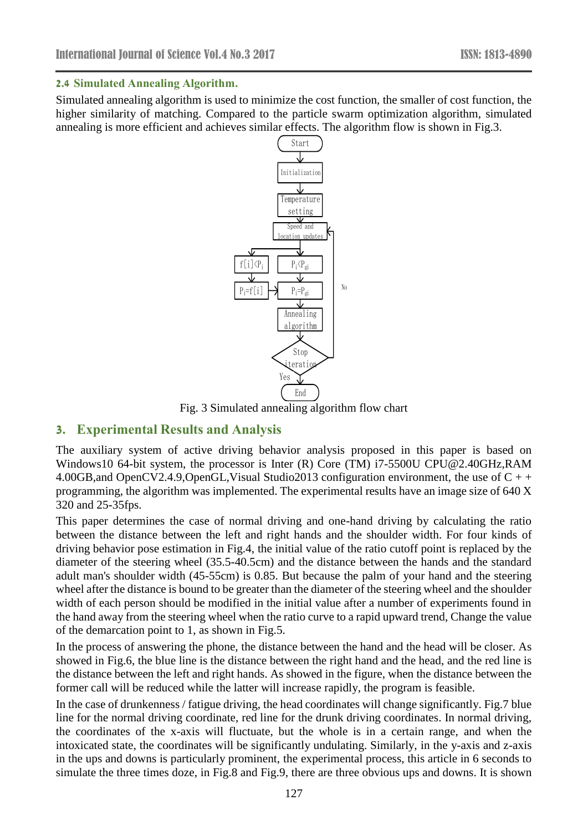### **2.4 Simulated Annealing Algorithm.**

Simulated annealing algorithm is used to minimize the cost function, the smaller of cost function, the higher similarity of matching. Compared to the particle swarm optimization algorithm, simulated annealing is more efficient and achieves similar effects. The algorithm flow is shown in Fig.3.



Fig. 3 Simulated annealing algorithm flow chart

## **3. Experimental Results and Analysis**

The auxiliary system of active driving behavior analysis proposed in this paper is based on Windows10 64-bit system, the processor is Inter (R) Core (TM) i7-5500U CPU@2.40GHz,RAM 4.00GB,and OpenCV2.4.9,OpenGL,Visual Studio2013 configuration environment, the use of C + + programming, the algorithm was implemented. The experimental results have an image size of 640 X 320 and 25-35fps.

This paper determines the case of normal driving and one-hand driving by calculating the ratio between the distance between the left and right hands and the shoulder width. For four kinds of driving behavior pose estimation in Fig.4, the initial value of the ratio cutoff point is replaced by the diameter of the steering wheel (35.5-40.5cm) and the distance between the hands and the standard adult man's shoulder width (45-55cm) is 0.85. But because the palm of your hand and the steering wheel after the distance is bound to be greater than the diameter of the steering wheel and the shoulder width of each person should be modified in the initial value after a number of experiments found in the hand away from the steering wheel when the ratio curve to a rapid upward trend, Change the value of the demarcation point to 1, as shown in Fig.5.

In the process of answering the phone, the distance between the hand and the head will be closer. As showed in Fig.6, the blue line is the distance between the right hand and the head, and the red line is the distance between the left and right hands. As showed in the figure, when the distance between the former call will be reduced while the latter will increase rapidly, the program is feasible.

In the case of drunkenness / fatigue driving, the head coordinates will change significantly. Fig.7 blue line for the normal driving coordinate, red line for the drunk driving coordinates. In normal driving, the coordinates of the x-axis will fluctuate, but the whole is in a certain range, and when the intoxicated state, the coordinates will be significantly undulating. Similarly, in the y-axis and z-axis in the ups and downs is particularly prominent, the experimental process, this article in 6 seconds to simulate the three times doze, in Fig.8 and Fig.9, there are three obvious ups and downs. It is shown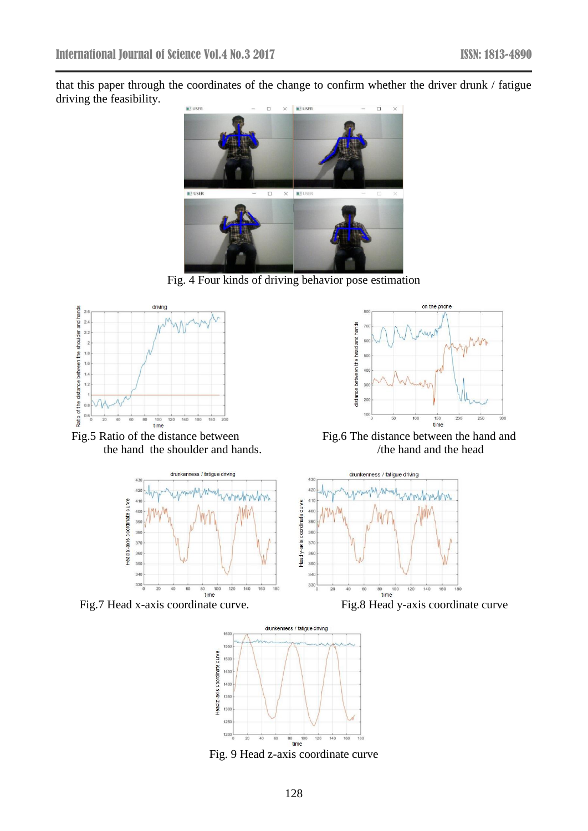that this paper through the coordinates of the change to confirm whether the driver drunk / fatigue driving the feasibility.



Fig. 4 Four kinds of driving behavior pose estimation



Fig.5 Ratio of the distance between Fig.6 The distance between the hand and the hand the shoulder and hands.  $\frac{100}{\text{cm}}$  The hand and the head the hand the shoulder and hands.









Fig. 9 Head z-axis coordinate curve